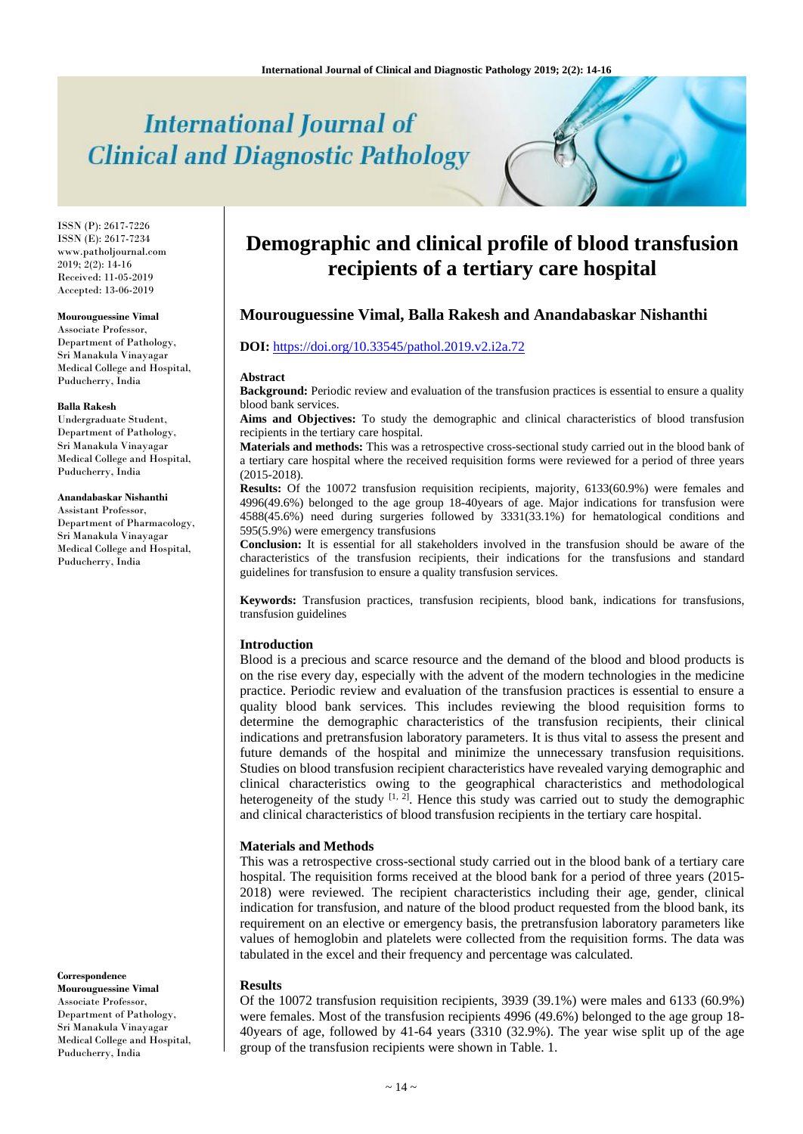# **International Journal of Clinical and Diagnostic Pathology**

ISSN (P): 2617-7226 ISSN (E): 2617-7234 www.patholjournal.com  $2019; 2(2): 14-16$ Received: 11-05-2019 Accepted: 13-06-2019

#### **Mourouguessine Vimal**

Associate Professor, Department of Pathology, Sri Manakula Vinayagar Medical College and Hospital, Puducherry, India

#### **Balla Rakesh**

Undergraduate Student, Department of Pathology, Sri Manakula Vinayagar Medical College and Hospital, Puducherry, India

#### **Anandabaskar Nishanthi**

Assistant Professor, Department of Pharmacology, Sri Manakula Vinayagar Medical College and Hospital, Puducherry, India

**Correspondence**

**Mourouguessine Vimal** Associate Professor, Department of Pathology, Sri Manakula Vinayagar Medical College and Hospital, Puducherry, India

## **Demographic and clinical profile of blood transfusion recipients of a tertiary care hospital**

## **Mourouguessine Vimal, Balla Rakesh and Anandabaskar Nishanthi**

## **DOI:** <https://doi.org/10.33545/pathol.2019.v2.i2a.72>

#### **Abstract**

**Background:** Periodic review and evaluation of the transfusion practices is essential to ensure a quality blood bank services.

**Aims and Objectives:** To study the demographic and clinical characteristics of blood transfusion recipients in the tertiary care hospital.

**Materials and methods:** This was a retrospective cross-sectional study carried out in the blood bank of a tertiary care hospital where the received requisition forms were reviewed for a period of three years (2015-2018).

**Results:** Of the 10072 transfusion requisition recipients, majority, 6133(60.9%) were females and 4996(49.6%) belonged to the age group 18-40years of age. Major indications for transfusion were 4588(45.6%) need during surgeries followed by 3331(33.1%) for hematological conditions and 595(5.9%) were emergency transfusions

**Conclusion:** It is essential for all stakeholders involved in the transfusion should be aware of the characteristics of the transfusion recipients, their indications for the transfusions and standard guidelines for transfusion to ensure a quality transfusion services.

**Keywords:** Transfusion practices, transfusion recipients, blood bank, indications for transfusions, transfusion guidelines

#### **Introduction**

Blood is a precious and scarce resource and the demand of the blood and blood products is on the rise every day, especially with the advent of the modern technologies in the medicine practice. Periodic review and evaluation of the transfusion practices is essential to ensure a quality blood bank services. This includes reviewing the blood requisition forms to determine the demographic characteristics of the transfusion recipients, their clinical indications and pretransfusion laboratory parameters. It is thus vital to assess the present and future demands of the hospital and minimize the unnecessary transfusion requisitions. Studies on blood transfusion recipient characteristics have revealed varying demographic and clinical characteristics owing to the geographical characteristics and methodological heterogeneity of the study  $[1, 2]$ . Hence this study was carried out to study the demographic and clinical characteristics of blood transfusion recipients in the tertiary care hospital.

#### **Materials and Methods**

This was a retrospective cross-sectional study carried out in the blood bank of a tertiary care hospital. The requisition forms received at the blood bank for a period of three years (2015- 2018) were reviewed. The recipient characteristics including their age, gender, clinical indication for transfusion, and nature of the blood product requested from the blood bank, its requirement on an elective or emergency basis, the pretransfusion laboratory parameters like values of hemoglobin and platelets were collected from the requisition forms. The data was tabulated in the excel and their frequency and percentage was calculated.

#### **Results**

Of the 10072 transfusion requisition recipients, 3939 (39.1%) were males and 6133 (60.9%) were females. Most of the transfusion recipients 4996 (49.6%) belonged to the age group 18- 40years of age, followed by 41-64 years (3310 (32.9%). The year wise split up of the age group of the transfusion recipients were shown in Table. 1.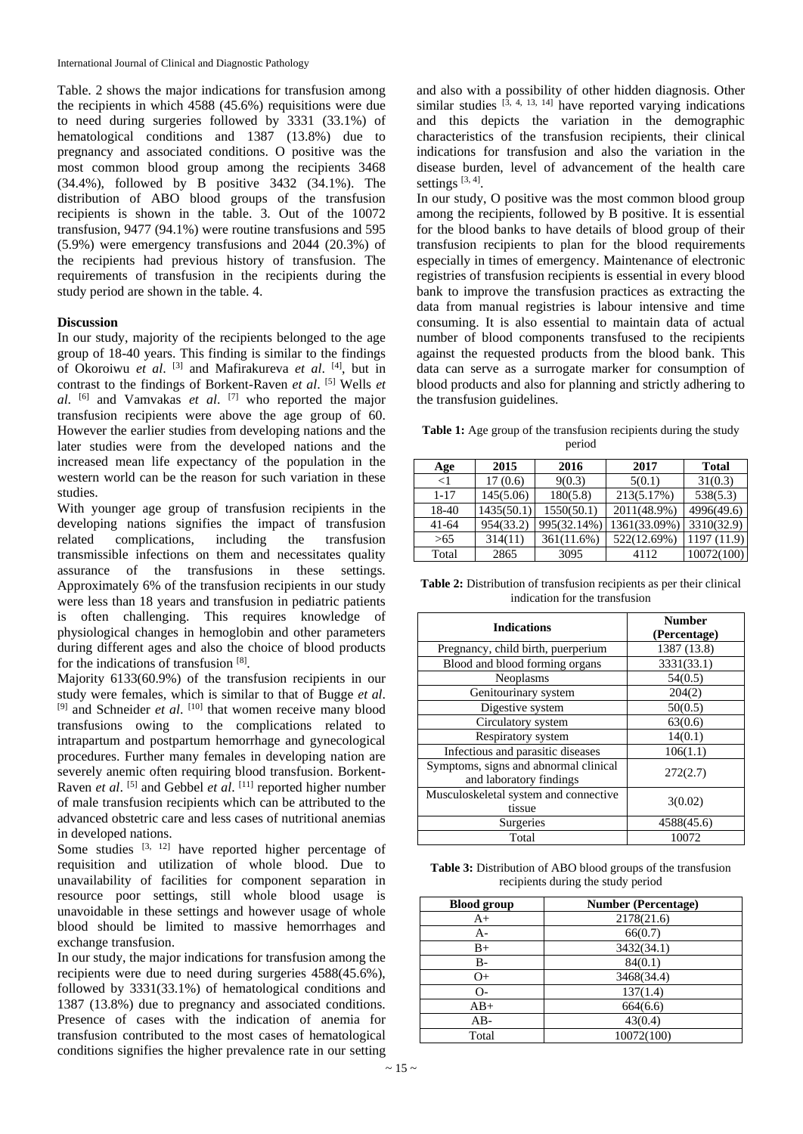Table. 2 shows the major indications for transfusion among the recipients in which 4588 (45.6%) requisitions were due to need during surgeries followed by 3331 (33.1%) of hematological conditions and 1387 (13.8%) due to pregnancy and associated conditions. O positive was the most common blood group among the recipients 3468 (34.4%), followed by B positive 3432 (34.1%). The distribution of ABO blood groups of the transfusion recipients is shown in the table. 3. Out of the 10072 transfusion, 9477 (94.1%) were routine transfusions and 595 (5.9%) were emergency transfusions and 2044 (20.3%) of the recipients had previous history of transfusion. The requirements of transfusion in the recipients during the study period are shown in the table. 4.

## **Discussion**

In our study, majority of the recipients belonged to the age group of 18-40 years. This finding is similar to the findings of Okoroiwu *et al.* <sup>[3]</sup> and Mafirakureva *et al.* <sup>[4]</sup>, but in contrast to the findings of Borkent-Raven *et al*. [5] Wells *et al*. [6] and Vamvakas *et al*. [7] who reported the major transfusion recipients were above the age group of 60. However the earlier studies from developing nations and the later studies were from the developed nations and the increased mean life expectancy of the population in the western world can be the reason for such variation in these studies.

With younger age group of transfusion recipients in the developing nations signifies the impact of transfusion related complications, including the transfusion transmissible infections on them and necessitates quality assurance of the transfusions in these settings. Approximately 6% of the transfusion recipients in our study were less than 18 years and transfusion in pediatric patients is often challenging. This requires knowledge of physiological changes in hemoglobin and other parameters during different ages and also the choice of blood products for the indications of transfusion [8].

Majority 6133(60.9%) of the transfusion recipients in our study were females, which is similar to that of Bugge *et al*. <sup>[9]</sup> and Schneider *et al.* <sup>[10]</sup> that women receive many blood transfusions owing to the complications related to intrapartum and postpartum hemorrhage and gynecological procedures. Further many females in developing nation are severely anemic often requiring blood transfusion. Borkent-Raven *et al.* <sup>[5]</sup> and Gebbel *et al.* <sup>[11]</sup> reported higher number of male transfusion recipients which can be attributed to the advanced obstetric care and less cases of nutritional anemias in developed nations.

Some studies  $[3, 12]$  have reported higher percentage of requisition and utilization of whole blood. Due to unavailability of facilities for component separation in resource poor settings, still whole blood usage is unavoidable in these settings and however usage of whole blood should be limited to massive hemorrhages and exchange transfusion.

In our study, the major indications for transfusion among the recipients were due to need during surgeries 4588(45.6%), followed by 3331(33.1%) of hematological conditions and 1387 (13.8%) due to pregnancy and associated conditions. Presence of cases with the indication of anemia for transfusion contributed to the most cases of hematological conditions signifies the higher prevalence rate in our setting and also with a possibility of other hidden diagnosis. Other similar studies  $\left[3, 4, 13, 14\right]$  have reported varying indications and this depicts the variation in the demographic characteristics of the transfusion recipients, their clinical indications for transfusion and also the variation in the disease burden, level of advancement of the health care settings<sup>[3,4]</sup>.

In our study, O positive was the most common blood group among the recipients, followed by B positive. It is essential for the blood banks to have details of blood group of their transfusion recipients to plan for the blood requirements especially in times of emergency. Maintenance of electronic registries of transfusion recipients is essential in every blood bank to improve the transfusion practices as extracting the data from manual registries is labour intensive and time consuming. It is also essential to maintain data of actual number of blood components transfused to the recipients against the requested products from the blood bank. This data can serve as a surrogate marker for consumption of blood products and also for planning and strictly adhering to the transfusion guidelines.

**Table 1:** Age group of the transfusion recipients during the study period

| Age      | 2015       | 2016        | 2017         | <b>Total</b> |
|----------|------------|-------------|--------------|--------------|
| $\leq$ 1 | 17(0.6)    | 9(0.3)      | 5(0.1)       | 31(0.3)      |
| $1 - 17$ | 145(5.06)  | 180(5.8)    | 213(5.17%)   | 538(5.3)     |
| 18-40    | 1435(50.1) | 1550(50.1)  | 2011(48.9%)  | 4996(49.6)   |
| 41-64    | 954(33.2)  | 995(32.14%) | 1361(33.09%) | 3310(32.9)   |
| >65      | 314(11)    | 361(11.6%)  | 522(12.69%)  | 1197(11.9)   |
| Total    | 2865       | 3095        | 4112         | 10072(100)   |

**Table 2:** Distribution of transfusion recipients as per their clinical indication for the transfusion

| <b>Indications</b>                                               | <b>Number</b><br>(Percentage) |
|------------------------------------------------------------------|-------------------------------|
| Pregnancy, child birth, puerperium                               | 1387 (13.8)                   |
| Blood and blood forming organs                                   | 3331(33.1)                    |
| Neoplasms                                                        | 54(0.5)                       |
| Genitourinary system                                             | 204(2)                        |
| Digestive system                                                 | 50(0.5)                       |
| Circulatory system                                               | 63(0.6)                       |
| Respiratory system                                               | 14(0.1)                       |
| Infectious and parasitic diseases                                | 106(1.1)                      |
| Symptoms, signs and abnormal clinical<br>and laboratory findings | 272(2.7)                      |
| Musculoskeletal system and connective<br>tissue                  | 3(0.02)                       |
| Surgeries                                                        | 4588(45.6)                    |
| Total                                                            | 10072                         |

**Table 3:** Distribution of ABO blood groups of the transfusion recipients during the study period

| <b>Blood</b> group | <b>Number (Percentage)</b> |  |  |
|--------------------|----------------------------|--|--|
| $A+$               | 2178(21.6)                 |  |  |
| A-                 | 66(0.7)                    |  |  |
| $_{\rm B+}$        | 3432(34.1)                 |  |  |
| B-                 | 84(0.1)                    |  |  |
| $O+$               | 3468(34.4)                 |  |  |
| $\Omega$           | 137(1.4)                   |  |  |
| $AB+$              | 664(6.6)                   |  |  |
| $AB-$              | 43(0.4)                    |  |  |
| Total              | 10072(100)                 |  |  |